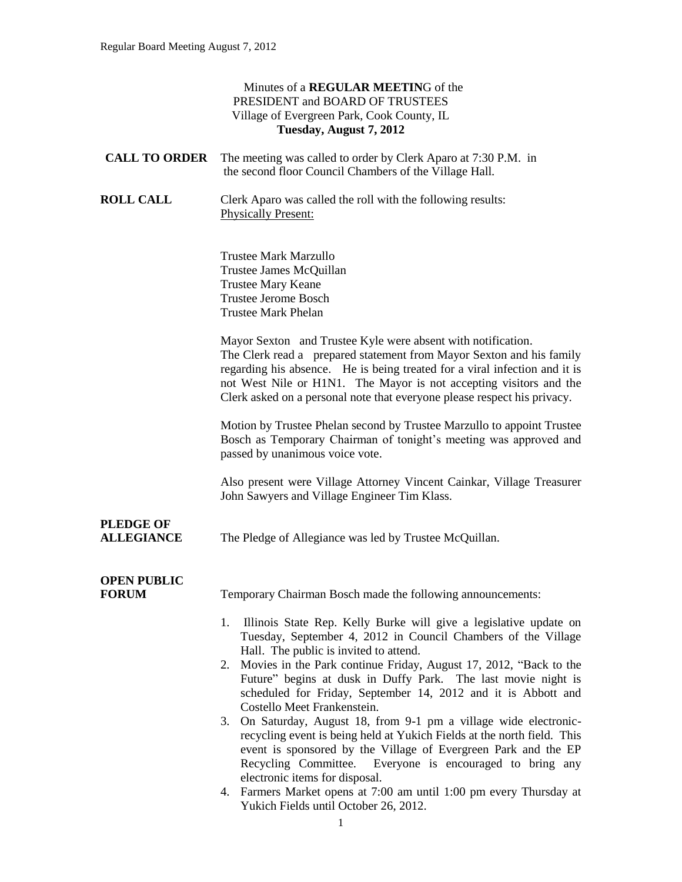#### Minutes of a **REGULAR MEETIN**G of the PRESIDENT and BOARD OF TRUSTEES Village of Evergreen Park, Cook County, IL **Tuesday, August 7, 2012**

|                                       | <b>CALL TO ORDER</b> The meeting was called to order by Clerk Aparo at 7:30 P.M. in<br>the second floor Council Chambers of the Village Hall.                                                                                                                                                                                                                                                                                                                                                                                                                                                                                                                                                                                                                                                                           |
|---------------------------------------|-------------------------------------------------------------------------------------------------------------------------------------------------------------------------------------------------------------------------------------------------------------------------------------------------------------------------------------------------------------------------------------------------------------------------------------------------------------------------------------------------------------------------------------------------------------------------------------------------------------------------------------------------------------------------------------------------------------------------------------------------------------------------------------------------------------------------|
| <b>ROLL CALL</b>                      | Clerk Aparo was called the roll with the following results:<br><b>Physically Present:</b>                                                                                                                                                                                                                                                                                                                                                                                                                                                                                                                                                                                                                                                                                                                               |
|                                       | Trustee Mark Marzullo<br>Trustee James McQuillan<br><b>Trustee Mary Keane</b><br><b>Trustee Jerome Bosch</b><br><b>Trustee Mark Phelan</b>                                                                                                                                                                                                                                                                                                                                                                                                                                                                                                                                                                                                                                                                              |
|                                       | Mayor Sexton and Trustee Kyle were absent with notification.<br>The Clerk read a prepared statement from Mayor Sexton and his family<br>regarding his absence. He is being treated for a viral infection and it is<br>not West Nile or H1N1. The Mayor is not accepting visitors and the<br>Clerk asked on a personal note that everyone please respect his privacy.                                                                                                                                                                                                                                                                                                                                                                                                                                                    |
|                                       | Motion by Trustee Phelan second by Trustee Marzullo to appoint Trustee<br>Bosch as Temporary Chairman of tonight's meeting was approved and<br>passed by unanimous voice vote.                                                                                                                                                                                                                                                                                                                                                                                                                                                                                                                                                                                                                                          |
|                                       | Also present were Village Attorney Vincent Cainkar, Village Treasurer<br>John Sawyers and Village Engineer Tim Klass.                                                                                                                                                                                                                                                                                                                                                                                                                                                                                                                                                                                                                                                                                                   |
| <b>PLEDGE OF</b><br><b>ALLEGIANCE</b> | The Pledge of Allegiance was led by Trustee McQuillan.                                                                                                                                                                                                                                                                                                                                                                                                                                                                                                                                                                                                                                                                                                                                                                  |
| <b>OPEN PUBLIC</b><br><b>FORUM</b>    | Temporary Chairman Bosch made the following announcements:                                                                                                                                                                                                                                                                                                                                                                                                                                                                                                                                                                                                                                                                                                                                                              |
|                                       | Illinois State Rep. Kelly Burke will give a legislative update on<br>1.<br>Tuesday, September 4, 2012 in Council Chambers of the Village<br>Hall. The public is invited to attend.<br>Movies in the Park continue Friday, August 17, 2012, "Back to the<br>2.<br>Future" begins at dusk in Duffy Park. The last movie night is<br>scheduled for Friday, September 14, 2012 and it is Abbott and<br>Costello Meet Frankenstein.<br>3. On Saturday, August 18, from 9-1 pm a village wide electronic-<br>recycling event is being held at Yukich Fields at the north field. This<br>event is sponsored by the Village of Evergreen Park and the EP<br>Recycling Committee.<br>Everyone is encouraged to bring any<br>electronic items for disposal.<br>4. Farmers Market opens at 7:00 am until 1:00 pm every Thursday at |

Yukich Fields until October 26, 2012.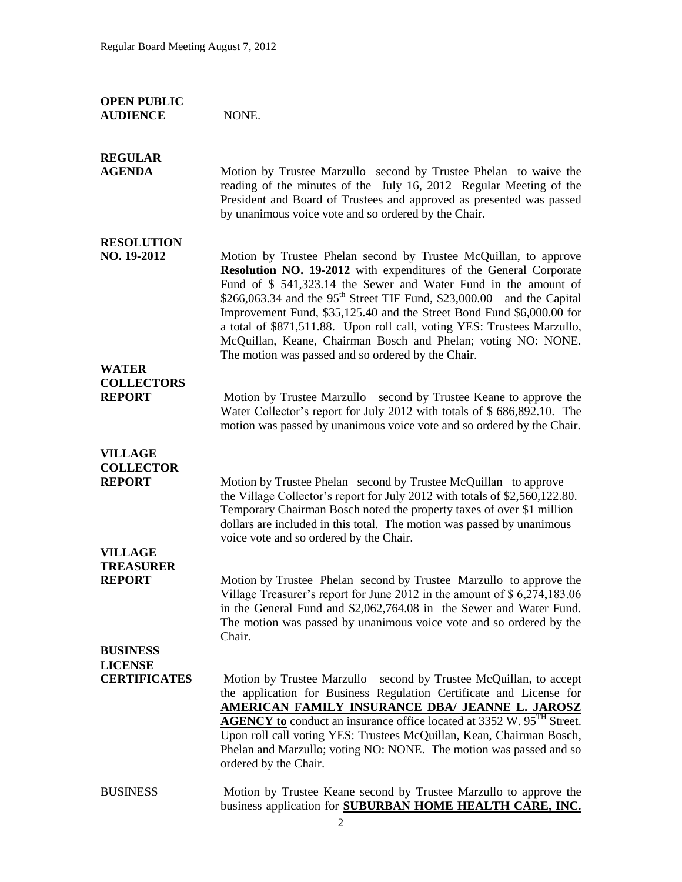| <b>OPEN PUBLIC</b><br><b>AUDIENCE</b>               | NONE.                                                                                                                                                                                                                                                                                                                                                                                                                                                                                                                                                           |
|-----------------------------------------------------|-----------------------------------------------------------------------------------------------------------------------------------------------------------------------------------------------------------------------------------------------------------------------------------------------------------------------------------------------------------------------------------------------------------------------------------------------------------------------------------------------------------------------------------------------------------------|
| <b>REGULAR</b><br><b>AGENDA</b>                     | Motion by Trustee Marzullo second by Trustee Phelan to waive the<br>reading of the minutes of the July 16, 2012 Regular Meeting of the<br>President and Board of Trustees and approved as presented was passed<br>by unanimous voice vote and so ordered by the Chair.                                                                                                                                                                                                                                                                                          |
| <b>RESOLUTION</b><br>NO. 19-2012                    | Motion by Trustee Phelan second by Trustee McQuillan, to approve<br>Resolution NO. 19-2012 with expenditures of the General Corporate<br>Fund of \$ 541,323.14 the Sewer and Water Fund in the amount of<br>\$266,063.34 and the $95th$ Street TIF Fund, \$23,000.00 and the Capital<br>Improvement Fund, \$35,125.40 and the Street Bond Fund \$6,000.00 for<br>a total of \$871,511.88. Upon roll call, voting YES: Trustees Marzullo,<br>McQuillan, Keane, Chairman Bosch and Phelan; voting NO: NONE.<br>The motion was passed and so ordered by the Chair. |
| <b>WATER</b>                                        |                                                                                                                                                                                                                                                                                                                                                                                                                                                                                                                                                                 |
| <b>COLLECTORS</b><br><b>REPORT</b>                  | Motion by Trustee Marzullo second by Trustee Keane to approve the<br>Water Collector's report for July 2012 with totals of \$686,892.10. The<br>motion was passed by unanimous voice vote and so ordered by the Chair.                                                                                                                                                                                                                                                                                                                                          |
| <b>VILLAGE</b><br><b>COLLECTOR</b><br><b>REPORT</b> | Motion by Trustee Phelan second by Trustee McQuillan to approve<br>the Village Collector's report for July 2012 with totals of \$2,560,122.80.<br>Temporary Chairman Bosch noted the property taxes of over \$1 million<br>dollars are included in this total. The motion was passed by unanimous<br>voice vote and so ordered by the Chair.                                                                                                                                                                                                                    |
| <b>VILLAGE</b>                                      |                                                                                                                                                                                                                                                                                                                                                                                                                                                                                                                                                                 |
| <b>TREASURER</b><br><b>REPORT</b>                   | Motion by Trustee Phelan second by Trustee Marzullo to approve the<br>Village Treasurer's report for June 2012 in the amount of \$6,274,183.06<br>in the General Fund and \$2,062,764.08 in the Sewer and Water Fund.<br>The motion was passed by unanimous voice vote and so ordered by the<br>Chair.                                                                                                                                                                                                                                                          |
| <b>BUSINESS</b>                                     |                                                                                                                                                                                                                                                                                                                                                                                                                                                                                                                                                                 |
| <b>LICENSE</b><br><b>CERTIFICATES</b>               |                                                                                                                                                                                                                                                                                                                                                                                                                                                                                                                                                                 |
|                                                     | Motion by Trustee Marzullo second by Trustee McQuillan, to accept<br>the application for Business Regulation Certificate and License for<br>AMERICAN FAMILY INSURANCE DBA/ JEANNE L. JAROSZ<br><b>AGENCY to</b> conduct an insurance office located at 3352 W. 95 <sup>TH</sup> Street.<br>Upon roll call voting YES: Trustees McQuillan, Kean, Chairman Bosch,<br>Phelan and Marzullo; voting NO: NONE. The motion was passed and so<br>ordered by the Chair.                                                                                                  |
| <b>BUSINESS</b>                                     | Motion by Trustee Keane second by Trustee Marzullo to approve the<br>business application for SUBURBAN HOME HEALTH CARE, INC.                                                                                                                                                                                                                                                                                                                                                                                                                                   |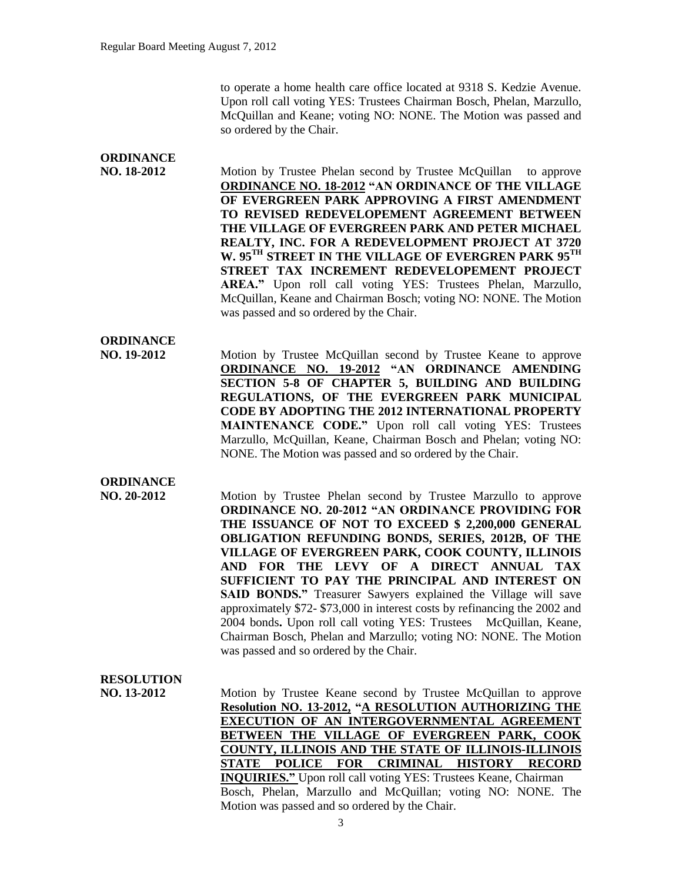to operate a home health care office located at 9318 S. Kedzie Avenue. Upon roll call voting YES: Trustees Chairman Bosch, Phelan, Marzullo, McQuillan and Keane; voting NO: NONE. The Motion was passed and so ordered by the Chair.

## **ORDINANCE**

**NO. 18-2012** Motion by Trustee Phelan second by Trustee McQuillan to approve **ORDINANCE NO. 18-2012 "AN ORDINANCE OF THE VILLAGE OF EVERGREEN PARK APPROVING A FIRST AMENDMENT TO REVISED REDEVELOPEMENT AGREEMENT BETWEEN THE VILLAGE OF EVERGREEN PARK AND PETER MICHAEL REALTY, INC. FOR A REDEVELOPMENT PROJECT AT 3720 W. 95TH STREET IN THE VILLAGE OF EVERGREN PARK 95TH STREET TAX INCREMENT REDEVELOPEMENT PROJECT AREA."** Upon roll call voting YES: Trustees Phelan, Marzullo, McQuillan, Keane and Chairman Bosch; voting NO: NONE. The Motion was passed and so ordered by the Chair.

#### **ORDINANCE**

**NO. 19-2012** Motion by Trustee McQuillan second by Trustee Keane to approve **ORDINANCE NO. 19-2012 "AN ORDINANCE AMENDING SECTION 5-8 OF CHAPTER 5, BUILDING AND BUILDING REGULATIONS, OF THE EVERGREEN PARK MUNICIPAL CODE BY ADOPTING THE 2012 INTERNATIONAL PROPERTY MAINTENANCE CODE."** Upon roll call voting YES: Trustees Marzullo, McQuillan, Keane, Chairman Bosch and Phelan; voting NO: NONE. The Motion was passed and so ordered by the Chair.

#### **ORDINANCE**

**NO. 20-2012** Motion by Trustee Phelan second by Trustee Marzullo to approve **ORDINANCE NO. 20-2012 "AN ORDINANCE PROVIDING FOR THE ISSUANCE OF NOT TO EXCEED \$ 2,200,000 GENERAL OBLIGATION REFUNDING BONDS, SERIES, 2012B, OF THE VILLAGE OF EVERGREEN PARK, COOK COUNTY, ILLINOIS AND FOR THE LEVY OF A DIRECT ANNUAL TAX SUFFICIENT TO PAY THE PRINCIPAL AND INTEREST ON SAID BONDS."** Treasurer Sawyers explained the Village will save approximately \$72- \$73,000 in interest costs by refinancing the 2002 and 2004 bonds**.** Upon roll call voting YES: Trustees McQuillan, Keane, Chairman Bosch, Phelan and Marzullo; voting NO: NONE. The Motion was passed and so ordered by the Chair.

### **RESOLUTION**

**NO. 13-2012** Motion by Trustee Keane second by Trustee McQuillan to approve **Resolution NO. 13-2012, "A RESOLUTION AUTHORIZING THE EXECUTION OF AN INTERGOVERNMENTAL AGREEMENT BETWEEN THE VILLAGE OF EVERGREEN PARK, COOK COUNTY, ILLINOIS AND THE STATE OF ILLINOIS-ILLINOIS STATE POLICE FOR CRIMINAL HISTORY RECORD INQUIRIES."** Upon roll call voting YES: Trustees Keane, Chairman Bosch, Phelan, Marzullo and McQuillan; voting NO: NONE. The Motion was passed and so ordered by the Chair.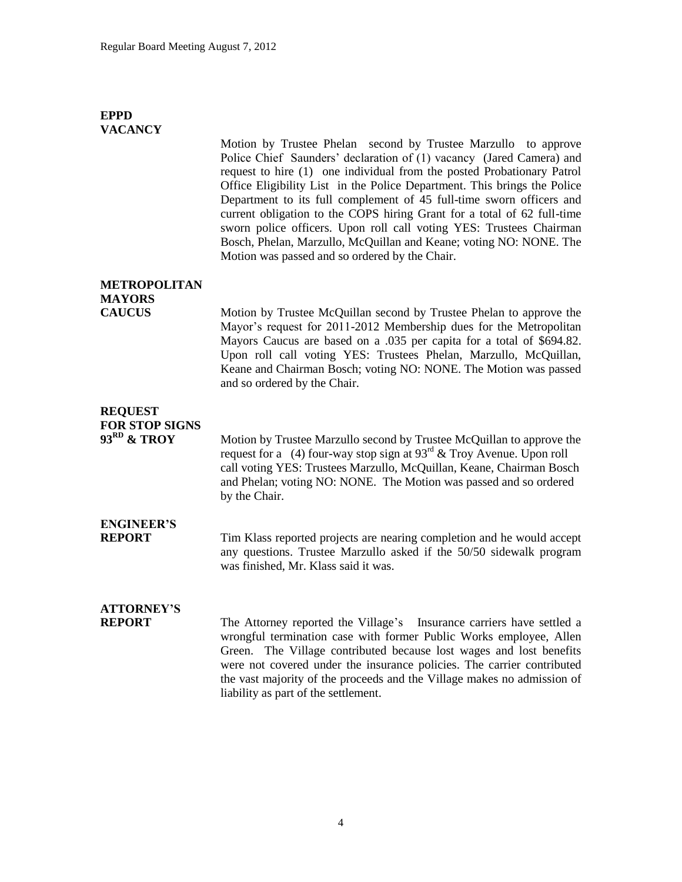#### **EPPD VACANCY**

Motion by Trustee Phelan second by Trustee Marzullo to approve Police Chief Saunders' declaration of (1) vacancy (Jared Camera) and request to hire (1) one individual from the posted Probationary Patrol Office Eligibility List in the Police Department. This brings the Police Department to its full complement of 45 full-time sworn officers and current obligation to the COPS hiring Grant for a total of 62 full-time sworn police officers. Upon roll call voting YES: Trustees Chairman Bosch, Phelan, Marzullo, McQuillan and Keane; voting NO: NONE. The Motion was passed and so ordered by the Chair.

### **METROPOLITAN MAYORS**

**CAUCUS** Motion by Trustee McQuillan second by Trustee Phelan to approve the Mayor's request for 2011-2012 Membership dues for the Metropolitan Mayors Caucus are based on a .035 per capita for a total of \$694.82. Upon roll call voting YES: Trustees Phelan, Marzullo, McQuillan, Keane and Chairman Bosch; voting NO: NONE. The Motion was passed and so ordered by the Chair.

### **REQUEST FOR STOP SIGNS**<br>93<sup>RD</sup> & TROY

Motion by Trustee Marzullo second by Trustee McQuillan to approve the request for a (4) four-way stop sign at  $93<sup>rd</sup> \&$  Troy Avenue. Upon roll call voting YES: Trustees Marzullo, McQuillan, Keane, Chairman Bosch and Phelan; voting NO: NONE. The Motion was passed and so ordered by the Chair.

# **ENGINEER'S**

**REPORT** Tim Klass reported projects are nearing completion and he would accept any questions. Trustee Marzullo asked if the 50/50 sidewalk program was finished, Mr. Klass said it was.

## **ATTORNEY'S**

**REPORT** The Attorney reported the Village's Insurance carriers have settled a wrongful termination case with former Public Works employee, Allen Green. The Village contributed because lost wages and lost benefits were not covered under the insurance policies. The carrier contributed the vast majority of the proceeds and the Village makes no admission of liability as part of the settlement.